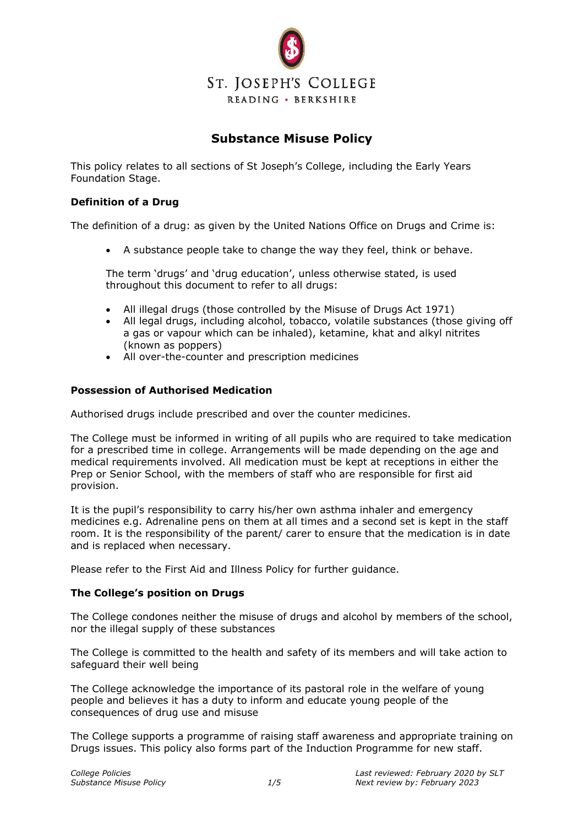

# **Substance Misuse Policy**

This policy relates to all sections of St Joseph's College, including the Early Years Foundation Stage.

### **Definition of a Drug**

The definition of a drug: as given by the United Nations Office on Drugs and Crime is:

• A substance people take to change the way they feel, think or behave.

The term 'drugs' and 'drug education', unless otherwise stated, is used throughout this document to refer to all drugs:

- All illegal drugs (those controlled by the Misuse of Drugs Act 1971)
- All legal drugs, including alcohol, tobacco, volatile substances (those giving off a gas or vapour which can be inhaled), ketamine, khat and alkyl nitrites (known as poppers)
- All over-the-counter and prescription medicines

### **Possession of Authorised Medication**

Authorised drugs include prescribed and over the counter medicines.

The College must be informed in writing of all pupils who are required to take medication for a prescribed time in college. Arrangements will be made depending on the age and medical requirements involved. All medication must be kept at receptions in either the Prep or Senior School, with the members of staff who are responsible for first aid provision.

It is the pupil's responsibility to carry his/her own asthma inhaler and emergency medicines e.g. Adrenaline pens on them at all times and a second set is kept in the staff room. It is the responsibility of the parent/ carer to ensure that the medication is in date and is replaced when necessary.

Please refer to the First Aid and Illness Policy for further guidance.

#### **The College's position on Drugs**

The College condones neither the misuse of drugs and alcohol by members of the school, nor the illegal supply of these substances

The College is committed to the health and safety of its members and will take action to safeguard their well being

The College acknowledge the importance of its pastoral role in the welfare of young people and believes it has a duty to inform and educate young people of the consequences of drug use and misuse

The College supports a programme of raising staff awareness and appropriate training on Drugs issues. This policy also forms part of the Induction Programme for new staff.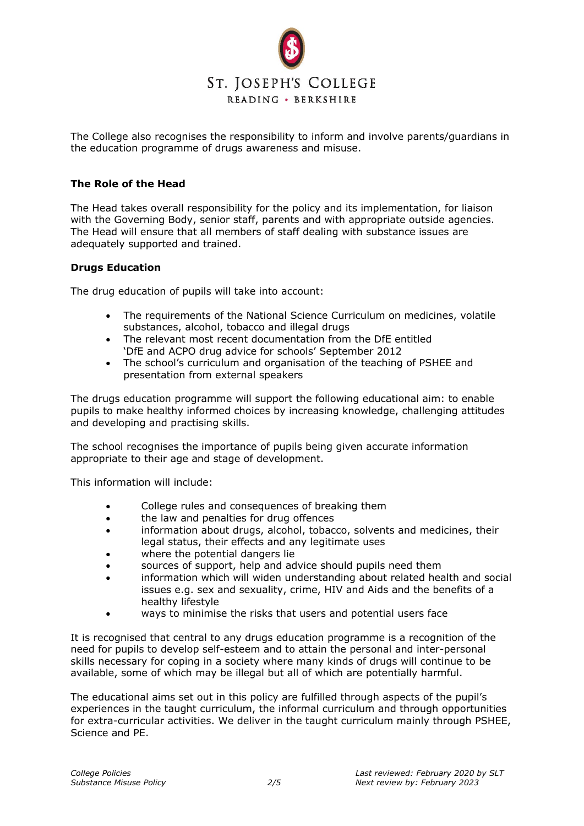

The College also recognises the responsibility to inform and involve parents/guardians in the education programme of drugs awareness and misuse.

### **The Role of the Head**

The Head takes overall responsibility for the policy and its implementation, for liaison with the Governing Body, senior staff, parents and with appropriate outside agencies. The Head will ensure that all members of staff dealing with substance issues are adequately supported and trained.

### **Drugs Education**

The drug education of pupils will take into account:

- The requirements of the National Science Curriculum on medicines, volatile substances, alcohol, tobacco and illegal drugs
- The relevant most recent documentation from the DfE entitled 'DfE and ACPO drug advice for schools' September 2012
- The school's curriculum and organisation of the teaching of PSHEE and presentation from external speakers

The drugs education programme will support the following educational aim: to enable pupils to make healthy informed choices by increasing knowledge, challenging attitudes and developing and practising skills.

The school recognises the importance of pupils being given accurate information appropriate to their age and stage of development.

This information will include:

- College rules and consequences of breaking them
- the law and penalties for drug offences
- information about drugs, alcohol, tobacco, solvents and medicines, their legal status, their effects and any legitimate uses
- where the potential dangers lie
- sources of support, help and advice should pupils need them
- information which will widen understanding about related health and social issues e.g. sex and sexuality, crime, HIV and Aids and the benefits of a healthy lifestyle
- ways to minimise the risks that users and potential users face

It is recognised that central to any drugs education programme is a recognition of the need for pupils to develop self-esteem and to attain the personal and inter-personal skills necessary for coping in a society where many kinds of drugs will continue to be available, some of which may be illegal but all of which are potentially harmful.

The educational aims set out in this policy are fulfilled through aspects of the pupil's experiences in the taught curriculum, the informal curriculum and through opportunities for extra-curricular activities. We deliver in the taught curriculum mainly through PSHEE, Science and PE.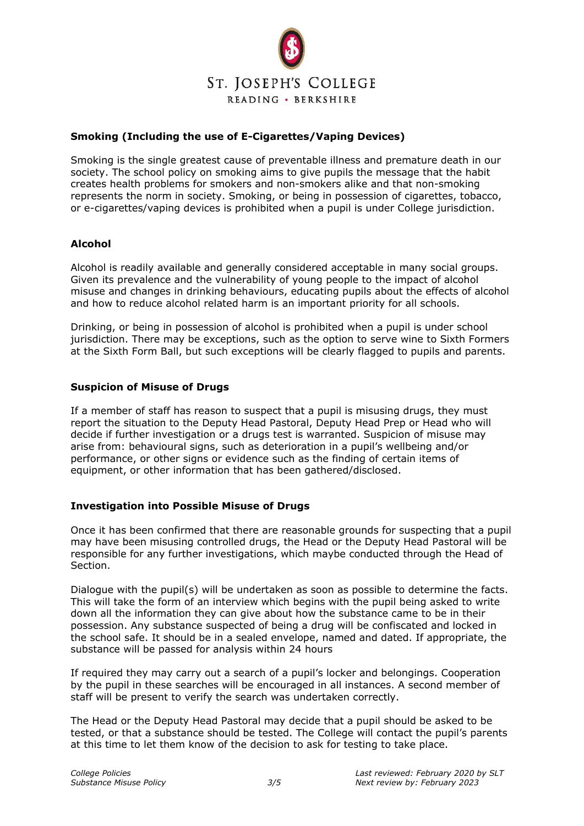

# **Smoking (Including the use of E-Cigarettes/Vaping Devices)**

Smoking is the single greatest cause of preventable illness and premature death in our society. The school policy on smoking aims to give pupils the message that the habit creates health problems for smokers and non-smokers alike and that non-smoking represents the norm in society. Smoking, or being in possession of cigarettes, tobacco, or e-cigarettes/vaping devices is prohibited when a pupil is under College jurisdiction.

# **Alcohol**

Alcohol is readily available and generally considered acceptable in many social groups. Given its prevalence and the vulnerability of young people to the impact of alcohol misuse and changes in drinking behaviours, educating pupils about the effects of alcohol and how to reduce alcohol related harm is an important priority for all schools.

Drinking, or being in possession of alcohol is prohibited when a pupil is under school jurisdiction. There may be exceptions, such as the option to serve wine to Sixth Formers at the Sixth Form Ball, but such exceptions will be clearly flagged to pupils and parents.

#### **Suspicion of Misuse of Drugs**

If a member of staff has reason to suspect that a pupil is misusing drugs, they must report the situation to the Deputy Head Pastoral, Deputy Head Prep or Head who will decide if further investigation or a drugs test is warranted. Suspicion of misuse may arise from: behavioural signs, such as deterioration in a pupil's wellbeing and/or performance, or other signs or evidence such as the finding of certain items of equipment, or other information that has been gathered/disclosed.

# **Investigation into Possible Misuse of Drugs**

Once it has been confirmed that there are reasonable grounds for suspecting that a pupil may have been misusing controlled drugs, the Head or the Deputy Head Pastoral will be responsible for any further investigations, which maybe conducted through the Head of Section.

Dialogue with the pupil(s) will be undertaken as soon as possible to determine the facts. This will take the form of an interview which begins with the pupil being asked to write down all the information they can give about how the substance came to be in their possession. Any substance suspected of being a drug will be confiscated and locked in the school safe. It should be in a sealed envelope, named and dated. If appropriate, the substance will be passed for analysis within 24 hours

If required they may carry out a search of a pupil's locker and belongings. Cooperation by the pupil in these searches will be encouraged in all instances. A second member of staff will be present to verify the search was undertaken correctly.

The Head or the Deputy Head Pastoral may decide that a pupil should be asked to be tested, or that a substance should be tested. The College will contact the pupil's parents at this time to let them know of the decision to ask for testing to take place.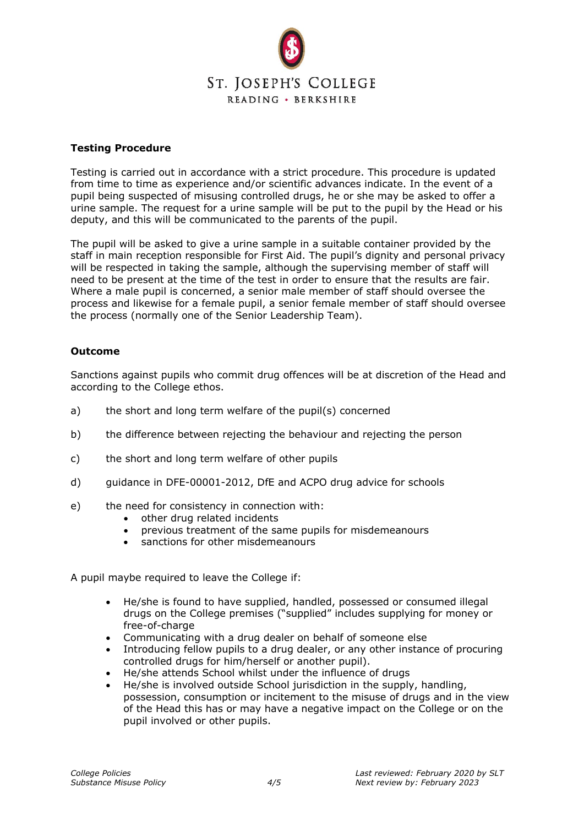

## **Testing Procedure**

Testing is carried out in accordance with a strict procedure. This procedure is updated from time to time as experience and/or scientific advances indicate. In the event of a pupil being suspected of misusing controlled drugs, he or she may be asked to offer a urine sample. The request for a urine sample will be put to the pupil by the Head or his deputy, and this will be communicated to the parents of the pupil.

The pupil will be asked to give a urine sample in a suitable container provided by the staff in main reception responsible for First Aid. The pupil's dignity and personal privacy will be respected in taking the sample, although the supervising member of staff will need to be present at the time of the test in order to ensure that the results are fair. Where a male pupil is concerned, a senior male member of staff should oversee the process and likewise for a female pupil, a senior female member of staff should oversee the process (normally one of the Senior Leadership Team).

### **Outcome**

Sanctions against pupils who commit drug offences will be at discretion of the Head and according to the College ethos.

- a) the short and long term welfare of the pupil(s) concerned
- b) the difference between rejecting the behaviour and rejecting the person
- c) the short and long term welfare of other pupils
- d) guidance in DFE-00001-2012, DfE and ACPO drug advice for schools
- e) the need for consistency in connection with:
	- other drug related incidents
	- previous treatment of the same pupils for misdemeanours
	- sanctions for other misdemeanours

A pupil maybe required to leave the College if:

- He/she is found to have supplied, handled, possessed or consumed illegal drugs on the College premises ("supplied" includes supplying for money or free-of-charge
- Communicating with a drug dealer on behalf of someone else
- Introducing fellow pupils to a drug dealer, or any other instance of procuring controlled drugs for him/herself or another pupil).
- He/she attends School whilst under the influence of drugs
- He/she is involved outside School jurisdiction in the supply, handling, possession, consumption or incitement to the misuse of drugs and in the view of the Head this has or may have a negative impact on the College or on the pupil involved or other pupils.